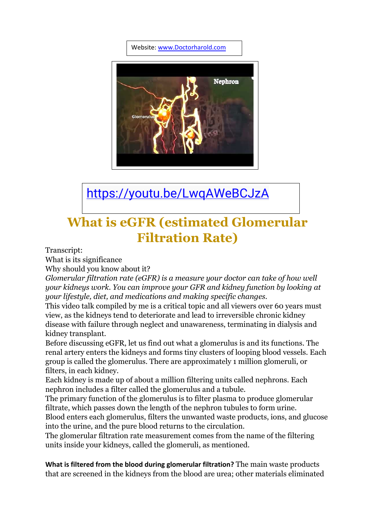Website: [www.Doctorharold.com](http://www.doctorharold.com/)



<https://youtu.be/LwqAWeBCJzA>

# **What is eGFR (estimated Glomerular Filtration Rate)**

Transcript:

What is its significance

Why should you know about it?

*Glomerular filtration rate (eGFR) is a measure your doctor can take of how well your kidneys work. You can improve your GFR and kidney function by looking at your lifestyle, diet, and medications and making specific changes.*

This video talk compiled by me is a critical topic and all viewers over 60 years must view, as the kidneys tend to deteriorate and lead to irreversible chronic kidney disease with failure through neglect and unawareness, terminating in dialysis and kidney transplant.

Before discussing eGFR, let us find out what a glomerulus is and its functions. The renal artery enters the kidneys and forms tiny clusters of looping blood vessels. Each group is called the glomerulus. There are approximately 1 million glomeruli, or filters, in each kidney.

Each kidney is made up of about a million filtering units called nephrons. Each nephron includes a filter called the glomerulus and a tubule.

The primary function of the glomerulus is to filter plasma to produce glomerular filtrate, which passes down the length of the nephron tubules to form urine.

Blood enters each glomerulus, filters the unwanted waste products, ions, and glucose into the urine, and the pure blood returns to the circulation.

The glomerular filtration rate measurement comes from the name of the filtering units inside your kidneys, called the glomeruli, as mentioned.

**What is filtered from the blood during glomerular filtration?** The main waste products that are screened in the kidneys from the blood are urea; other materials eliminated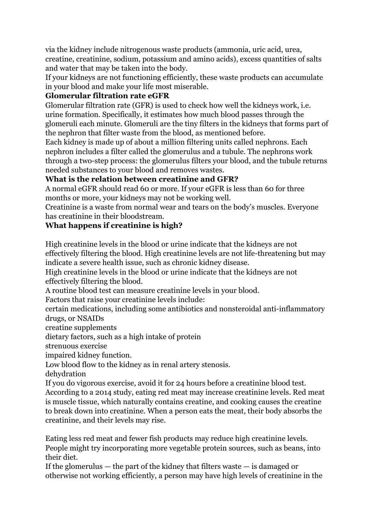via the kidney include nitrogenous waste products (ammonia, uric acid, urea, creatine, creatinine, sodium, potassium and amino acids), excess quantities of salts and water that may be taken into the body.

If your kidneys are not functioning efficiently, these waste products can accumulate in your blood and make your life most miserable.

#### **Glomerular filtration rate eGFR**

Glomerular filtration rate (GFR) is used to check how well the kidneys work, i.e. urine formation. Specifically, it estimates how much blood passes through the glomeruli each minute. Glomeruli are the tiny filters in the kidneys that forms part of the nephron that filter waste from the blood, as mentioned before.

Each kidney is made up of about a million filtering units called nephrons. Each nephron includes a filter called the glomerulus and a tubule. The nephrons work through a two-step process: the glomerulus filters your blood, and the tubule returns needed substances to your blood and removes wastes.

# **What is the relation between creatinine and GFR?**

A normal eGFR should read 60 or more. If your eGFR is less than 60 for three months or more, your kidneys may not be working well.

Creatinine is a waste from normal wear and tears on the body's muscles. Everyone has creatinine in their bloodstream.

## **What happens if creatinine is high?**

High creatinine levels in the blood or urine indicate that the kidneys are not effectively filtering the blood. High creatinine levels are not life-threatening but may indicate a severe health issue, such as chronic kidney disease.

High creatinine levels in the blood or urine indicate that the kidneys are not effectively filtering the blood.

A routine blood test can measure creatinine levels in your blood.

Factors that raise your creatinine levels include:

certain medications, including some antibiotics and nonsteroidal anti-inflammatory drugs, or NSAIDs

creatine supplements

dietary factors, such as a high intake of protein

strenuous exercise

impaired kidney function.

Low blood flow to the kidney as in renal artery stenosis.

dehydration

If you do vigorous exercise, avoid it for 24 hours before a creatinine blood test. According to a 2014 study, eating red meat may increase creatinine levels. Red meat is muscle tissue, which naturally contains creatine, and cooking causes the creatine to break down into creatinine. When a person eats the meat, their body absorbs the creatinine, and their levels may rise.

Eating less red meat and fewer fish products may reduce high creatinine levels. People might try incorporating more vegetable protein sources, such as beans, into their diet.

If the glomerulus  $-$  the part of the kidney that filters waste  $-$  is damaged or otherwise not working efficiently, a person may have high levels of creatinine in the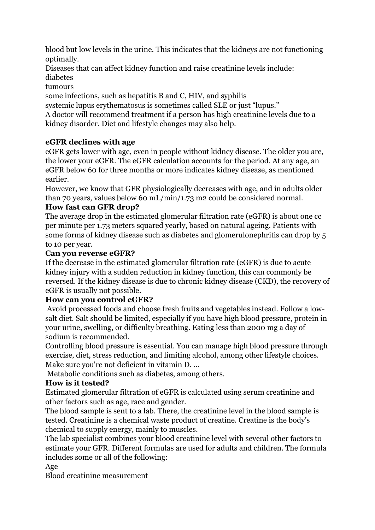blood but low levels in the urine. This indicates that the kidneys are not functioning optimally.

Diseases that can affect kidney function and raise creatinine levels include:

diabetes

tumours

some infections, such as hepatitis B and C, HIV, and syphilis

systemic lupus erythematosus is sometimes called SLE or just "lupus."

A doctor will recommend treatment if a person has high creatinine levels due to a kidney disorder. Diet and lifestyle changes may also help.

# **eGFR declines with age**

eGFR gets lower with age, even in people without kidney disease. The older you are, the lower your eGFR. The eGFR calculation accounts for the period. At any age, an eGFR below 60 for three months or more indicates kidney disease, as mentioned earlier.

However, we know that GFR physiologically decreases with age, and in adults older than 70 years, values below 60 mL/min/1.73 m2 could be considered normal.

## **How fast can GFR drop?**

The average drop in the estimated glomerular filtration rate (eGFR) is about one cc per minute per 1.73 meters squared yearly, based on natural ageing. Patients with some forms of kidney disease such as diabetes and glomerulonephritis can drop by 5 to 10 per year.

#### **Can you reverse eGFR?**

If the decrease in the estimated glomerular filtration rate (eGFR) is due to acute kidney injury with a sudden reduction in kidney function, this can commonly be reversed. If the kidney disease is due to chronic kidney disease (CKD), the recovery of eGFR is usually not possible.

#### **How can you control eGFR?**

Avoid processed foods and choose fresh fruits and vegetables instead. Follow a lowsalt diet. Salt should be limited, especially if you have high blood pressure, protein in your urine, swelling, or difficulty breathing. Eating less than 2000 mg a day of sodium is recommended.

Controlling blood pressure is essential. You can manage high blood pressure through exercise, diet, stress reduction, and limiting alcohol, among other lifestyle choices. Make sure you're not deficient in vitamin D. ...

Metabolic conditions such as diabetes, among others.

# **How is it tested?**

Estimated glomerular filtration of eGFR is calculated using serum creatinine and other factors such as age, race and gender.

The blood sample is sent to a lab. There, the creatinine level in the blood sample is tested. Creatinine is a chemical waste product of creatine. Creatine is the body's chemical to supply energy, mainly to muscles.

The lab specialist combines your blood creatinine level with several other factors to estimate your GFR. Different formulas are used for adults and children. The formula includes some or all of the following:

Age

Blood creatinine measurement